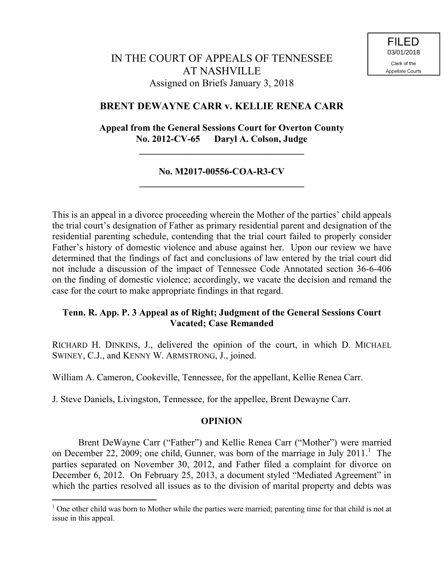# IN THE COURT OF APPEALS OF TENNESSEE AT NASHVILLE Assigned on Briefs January 3, 2018

## **BRENT DEWAYNE CARR v. KELLIE RENEA CARR**

**Appeal from the General Sessions Court for Overton County No. 2012-CV-65 Daryl A. Colson, Judge**

**\_\_\_\_\_\_\_\_\_\_\_\_\_\_\_\_\_\_\_\_\_\_\_\_\_\_\_\_\_\_\_\_\_\_\_**

### **No. M2017-00556-COA-R3-CV \_\_\_\_\_\_\_\_\_\_\_\_\_\_\_\_\_\_\_\_\_\_\_\_\_\_\_\_\_\_\_\_\_\_\_**

This is an appeal in a divorce proceeding wherein the Mother of the parties' child appeals the trial court's designation of Father as primary residential parent and designation of the residential parenting schedule, contending that the trial court failed to properly consider Father's history of domestic violence and abuse against her. Upon our review we have determined that the findings of fact and conclusions of law entered by the trial court did not include a discussion of the impact of Tennessee Code Annotated section 36-6-406 on the finding of domestic violence; accordingly, we vacate the decision and remand the case for the court to make appropriate findings in that regard.

## **Tenn. R. App. P. 3 Appeal as of Right; Judgment of the General Sessions Court Vacated; Case Remanded**

RICHARD H. DINKINS, J., delivered the opinion of the court, in which D. MICHAEL SWINEY, C.J., and KENNY W. ARMSTRONG, J., joined.

William A. Cameron, Cookeville, Tennessee, for the appellant, Kellie Renea Carr.

J. Steve Daniels, Livingston, Tennessee, for the appellee, Brent Dewayne Carr.

 $\overline{a}$ 

### **OPINION**

Brent DeWayne Carr ("Father") and Kellie Renea Carr ("Mother") were married on December 22, 2009; one child, Gunner, was born of the marriage in July  $2011$ .<sup>1</sup> The parties separated on November 30, 2012, and Father filed a complaint for divorce on December 6, 2012. On February 25, 2013, a document styled "Mediated Agreement" in which the parties resolved all issues as to the division of marital property and debts was

<sup>&</sup>lt;sup>1</sup> One other child was born to Mother while the parties were married; parenting time for that child is not at issue in this appeal.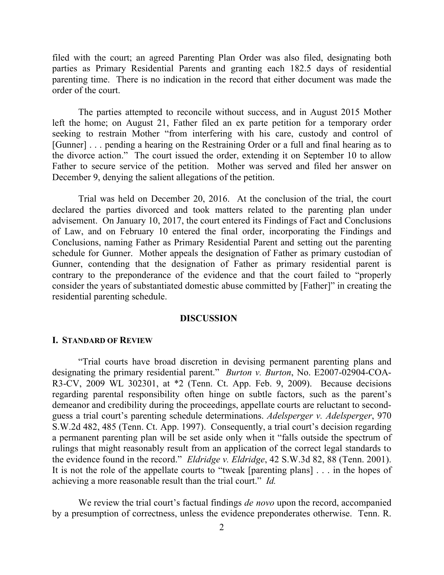filed with the court; an agreed Parenting Plan Order was also filed, designating both parties as Primary Residential Parents and granting each 182.5 days of residential parenting time. There is no indication in the record that either document was made the order of the court.

The parties attempted to reconcile without success, and in August 2015 Mother left the home; on August 21, Father filed an ex parte petition for a temporary order seeking to restrain Mother "from interfering with his care, custody and control of [Gunner] . . . pending a hearing on the Restraining Order or a full and final hearing as to the divorce action." The court issued the order, extending it on September 10 to allow Father to secure service of the petition. Mother was served and filed her answer on December 9, denying the salient allegations of the petition.

Trial was held on December 20, 2016. At the conclusion of the trial, the court declared the parties divorced and took matters related to the parenting plan under advisement. On January 10, 2017, the court entered its Findings of Fact and Conclusions of Law, and on February 10 entered the final order, incorporating the Findings and Conclusions, naming Father as Primary Residential Parent and setting out the parenting schedule for Gunner. Mother appeals the designation of Father as primary custodian of Gunner, contending that the designation of Father as primary residential parent is contrary to the preponderance of the evidence and that the court failed to "properly consider the years of substantiated domestic abuse committed by [Father]" in creating the residential parenting schedule.

#### **DISCUSSION**

#### **I. STANDARD OF REVIEW**

"Trial courts have broad discretion in devising permanent parenting plans and designating the primary residential parent." *Burton v. Burton*, No. E2007-02904-COA-R3-CV, 2009 WL 302301, at \*2 (Tenn. Ct. App. Feb. 9, 2009). Because decisions regarding parental responsibility often hinge on subtle factors, such as the parent's demeanor and credibility during the proceedings, appellate courts are reluctant to secondguess a trial court's parenting schedule determinations. *Adelsperger v. Adelsperger*, 970 S.W.2d 482, 485 (Tenn. Ct. App. 1997). Consequently, a trial court's decision regarding a permanent parenting plan will be set aside only when it "falls outside the spectrum of rulings that might reasonably result from an application of the correct legal standards to the evidence found in the record." *Eldridge v. Eldridge*, 42 S.W.3d 82, 88 (Tenn. 2001). It is not the role of the appellate courts to "tweak [parenting plans] . . . in the hopes of achieving a more reasonable result than the trial court." *Id.*

We review the trial court's factual findings *de novo* upon the record, accompanied by a presumption of correctness, unless the evidence preponderates otherwise. Tenn. R.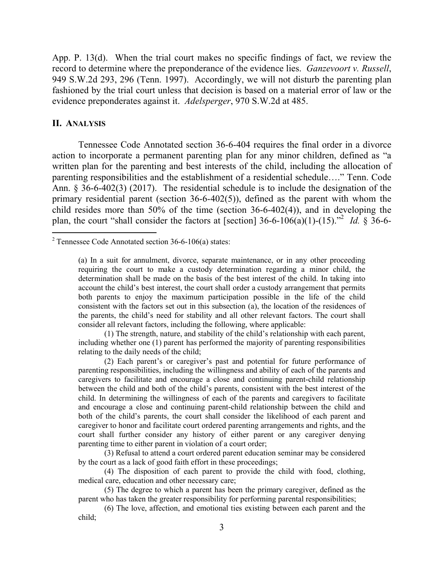App. P. 13(d). When the trial court makes no specific findings of fact, we review the record to determine where the preponderance of the evidence lies. *Ganzevoort v. Russell*, 949 S.W.2d 293, 296 (Tenn. 1997). Accordingly, we will not disturb the parenting plan fashioned by the trial court unless that decision is based on a material error of law or the evidence preponderates against it. *Adelsperger*, 970 S.W.2d at 485.

#### **II. ANALYSIS**

 $\overline{a}$ 

Tennessee Code Annotated section 36-6-404 requires the final order in a divorce action to incorporate a permanent parenting plan for any minor children, defined as "a written plan for the parenting and best interests of the child, including the allocation of parenting responsibilities and the establishment of a residential schedule…." Tenn. Code Ann. § 36-6-402(3) (2017). The residential schedule is to include the designation of the primary residential parent (section 36-6-402(5)), defined as the parent with whom the child resides more than 50% of the time (section 36-6-402(4)), and in developing the plan, the court "shall consider the factors at [section]  $36-6-106(a)(1)-(15)$ ."<sup>2</sup> *Id.* § 36-6-

(1) The strength, nature, and stability of the child's relationship with each parent, including whether one (1) parent has performed the majority of parenting responsibilities relating to the daily needs of the child;

(2) Each parent's or caregiver's past and potential for future performance of parenting responsibilities, including the willingness and ability of each of the parents and caregivers to facilitate and encourage a close and continuing parent-child relationship between the child and both of the child's parents, consistent with the best interest of the child. In determining the willingness of each of the parents and caregivers to facilitate and encourage a close and continuing parent-child relationship between the child and both of the child's parents, the court shall consider the likelihood of each parent and caregiver to honor and facilitate court ordered parenting arrangements and rights, and the court shall further consider any history of either parent or any caregiver denying parenting time to either parent in violation of a court order;

(3) Refusal to attend a court ordered parent education seminar may be considered by the court as a lack of good faith effort in these proceedings;

(4) The disposition of each parent to provide the child with food, clothing, medical care, education and other necessary care;

(5) The degree to which a parent has been the primary caregiver, defined as the parent who has taken the greater responsibility for performing parental responsibilities;

(6) The love, affection, and emotional ties existing between each parent and the child;

<sup>&</sup>lt;sup>2</sup> Tennessee Code Annotated section 36-6-106(a) states:

<sup>(</sup>a) In a suit for annulment, divorce, separate maintenance, or in any other proceeding requiring the court to make a custody determination regarding a minor child, the determination shall be made on the basis of the best interest of the child. In taking into account the child's best interest, the court shall order a custody arrangement that permits both parents to enjoy the maximum participation possible in the life of the child consistent with the factors set out in this subsection (a), the location of the residences of the parents, the child's need for stability and all other relevant factors. The court shall consider all relevant factors, including the following, where applicable: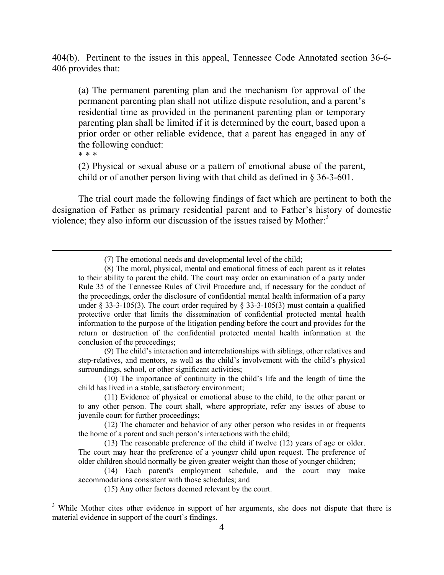404(b). Pertinent to the issues in this appeal, Tennessee Code Annotated section 36-6- 406 provides that:

(a) The permanent parenting plan and the mechanism for approval of the permanent parenting plan shall not utilize dispute resolution, and a parent's residential time as provided in the permanent parenting plan or temporary parenting plan shall be limited if it is determined by the court, based upon a prior order or other reliable evidence, that a parent has engaged in any of the following conduct:

\* \* \*

(2) Physical or sexual abuse or a pattern of emotional abuse of the parent, child or of another person living with that child as defined in § 36-3-601.

The trial court made the following findings of fact which are pertinent to both the designation of Father as primary residential parent and to Father's history of domestic violence; they also inform our discussion of the issues raised by Mother.<sup>3</sup>

(7) The emotional needs and developmental level of the child;

(9) The child's interaction and interrelationships with siblings, other relatives and step-relatives, and mentors, as well as the child's involvement with the child's physical surroundings, school, or other significant activities;

(10) The importance of continuity in the child's life and the length of time the child has lived in a stable, satisfactory environment;

(11) Evidence of physical or emotional abuse to the child, to the other parent or to any other person. The court shall, where appropriate, refer any issues of abuse to juvenile court for further proceedings;

(12) The character and behavior of any other person who resides in or frequents the home of a parent and such person's interactions with the child;

(13) The reasonable preference of the child if twelve (12) years of age or older. The court may hear the preference of a younger child upon request. The preference of older children should normally be given greater weight than those of younger children;

(14) Each parent's employment schedule, and the court may make accommodations consistent with those schedules; and

(15) Any other factors deemed relevant by the court.

<sup>(8)</sup> The moral, physical, mental and emotional fitness of each parent as it relates to their ability to parent the child. The court may order an examination of a party under Rule 35 of the Tennessee Rules of Civil Procedure and, if necessary for the conduct of the proceedings, order the disclosure of confidential mental health information of a party under  $\S$  33-3-105(3). The court order required by  $\S$  33-3-105(3) must contain a qualified protective order that limits the dissemination of confidential protected mental health information to the purpose of the litigation pending before the court and provides for the return or destruction of the confidential protected mental health information at the conclusion of the proceedings;

<sup>&</sup>lt;sup>3</sup> While Mother cites other evidence in support of her arguments, she does not dispute that there is material evidence in support of the court's findings.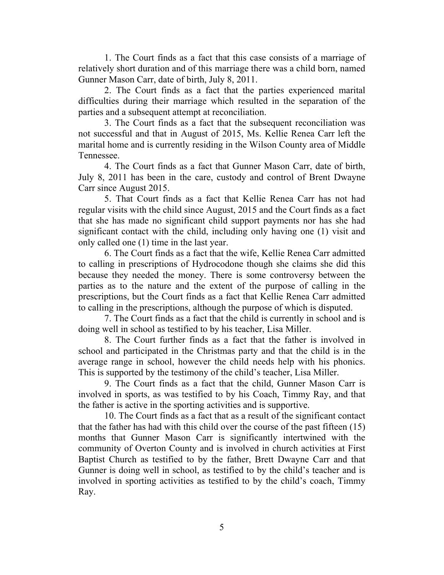1. The Court finds as a fact that this case consists of a marriage of relatively short duration and of this marriage there was a child born, named Gunner Mason Carr, date of birth, July 8, 2011.

2. The Court finds as a fact that the parties experienced marital difficulties during their marriage which resulted in the separation of the parties and a subsequent attempt at reconciliation.

3. The Court finds as a fact that the subsequent reconciliation was not successful and that in August of 2015, Ms. Kellie Renea Carr left the marital home and is currently residing in the Wilson County area of Middle Tennessee.

4. The Court finds as a fact that Gunner Mason Carr, date of birth, July 8, 2011 has been in the care, custody and control of Brent Dwayne Carr since August 2015.

5. That Court finds as a fact that Kellie Renea Carr has not had regular visits with the child since August, 2015 and the Court finds as a fact that she has made no significant child support payments nor has she had significant contact with the child, including only having one (1) visit and only called one (1) time in the last year.

6. The Court finds as a fact that the wife, Kellie Renea Carr admitted to calling in prescriptions of Hydrocodone though she claims she did this because they needed the money. There is some controversy between the parties as to the nature and the extent of the purpose of calling in the prescriptions, but the Court finds as a fact that Kellie Renea Carr admitted to calling in the prescriptions, although the purpose of which is disputed.

7. The Court finds as a fact that the child is currently in school and is doing well in school as testified to by his teacher, Lisa Miller.

8. The Court further finds as a fact that the father is involved in school and participated in the Christmas party and that the child is in the average range in school, however the child needs help with his phonics. This is supported by the testimony of the child's teacher, Lisa Miller.

9. The Court finds as a fact that the child, Gunner Mason Carr is involved in sports, as was testified to by his Coach, Timmy Ray, and that the father is active in the sporting activities and is supportive.

10. The Court finds as a fact that as a result of the significant contact that the father has had with this child over the course of the past fifteen (15) months that Gunner Mason Carr is significantly intertwined with the community of Overton County and is involved in church activities at First Baptist Church as testified to by the father, Brett Dwayne Carr and that Gunner is doing well in school, as testified to by the child's teacher and is involved in sporting activities as testified to by the child's coach, Timmy Ray.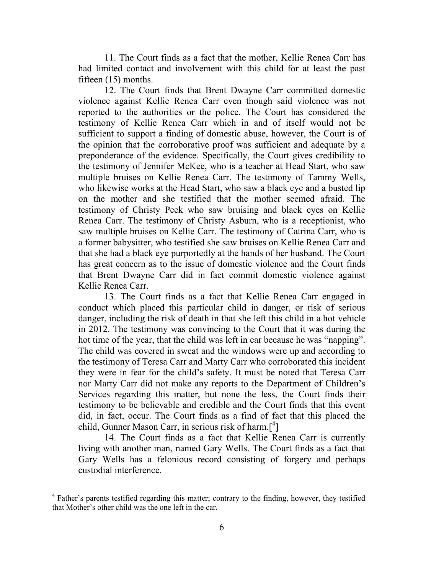11. The Court finds as a fact that the mother, Kellie Renea Carr has had limited contact and involvement with this child for at least the past fifteen (15) months.

12. The Court finds that Brent Dwayne Carr committed domestic violence against Kellie Renea Carr even though said violence was not reported to the authorities or the police. The Court has considered the testimony of Kellie Renea Carr which in and of itself would not be sufficient to support a finding of domestic abuse, however, the Court is of the opinion that the corroborative proof was sufficient and adequate by a preponderance of the evidence. Specifically, the Court gives credibility to the testimony of Jennifer McKee, who is a teacher at Head Start, who saw multiple bruises on Kellie Renea Carr. The testimony of Tammy Wells, who likewise works at the Head Start, who saw a black eye and a busted lip on the mother and she testified that the mother seemed afraid. The testimony of Christy Peek who saw bruising and black eyes on Kellie Renea Carr. The testimony of Christy Asburn, who is a receptionist, who saw multiple bruises on Kellie Carr. The testimony of Catrina Carr, who is a former babysitter, who testified she saw bruises on Kellie Renea Carr and that she had a black eye purportedly at the hands of her husband. The Court has great concern as to the issue of domestic violence and the Court finds that Brent Dwayne Carr did in fact commit domestic violence against Kellie Renea Carr.

13. The Court finds as a fact that Kellie Renea Carr engaged in conduct which placed this particular child in danger, or risk of serious danger, including the risk of death in that she left this child in a hot vehicle in 2012. The testimony was convincing to the Court that it was during the hot time of the year, that the child was left in car because he was "napping". The child was covered in sweat and the windows were up and according to the testimony of Teresa Carr and Marty Carr who corroborated this incident they were in fear for the child's safety. It must be noted that Teresa Carr nor Marty Carr did not make any reports to the Department of Children's Services regarding this matter, but none the less, the Court finds their testimony to be believable and credible and the Court finds that this event did, in fact, occur. The Court finds as a find of fact that this placed the child, Gunner Mason Carr, in serious risk of harm. $\binom{4}{1}$ 

14. The Court finds as a fact that Kellie Renea Carr is currently living with another man, named Gary Wells. The Court finds as a fact that Gary Wells has a felonious record consisting of forgery and perhaps custodial interference.

 $\overline{a}$ 

<sup>&</sup>lt;sup>4</sup> Father's parents testified regarding this matter; contrary to the finding, however, they testified that Mother's other child was the one left in the car.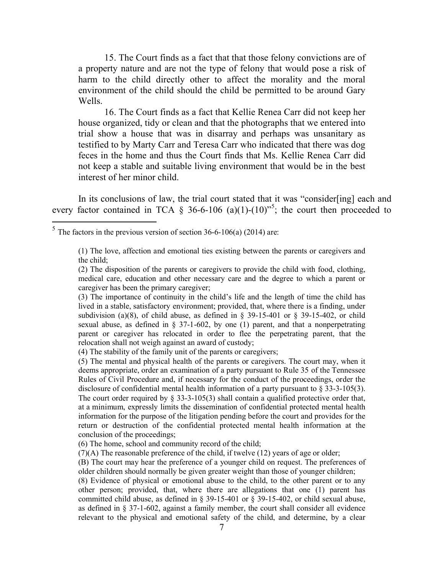15. The Court finds as a fact that that those felony convictions are of a property nature and are not the type of felony that would pose a risk of harm to the child directly other to affect the morality and the moral environment of the child should the child be permitted to be around Gary Wells.

16. The Court finds as a fact that Kellie Renea Carr did not keep her house organized, tidy or clean and that the photographs that we entered into trial show a house that was in disarray and perhaps was unsanitary as testified to by Marty Carr and Teresa Carr who indicated that there was dog feces in the home and thus the Court finds that Ms. Kellie Renea Carr did not keep a stable and suitable living environment that would be in the best interest of her minor child.

In its conclusions of law, the trial court stated that it was "consider[ing] each and every factor contained in TCA  $\S$  36-6-106 (a)(1)-(10)<sup>55</sup>; the court then proceeded to

(3) The importance of continuity in the child's life and the length of time the child has lived in a stable, satisfactory environment; provided, that, where there is a finding, under subdivision (a)(8), of child abuse, as defined in  $\S$  39-15-401 or  $\S$  39-15-402, or child sexual abuse, as defined in  $\S$  37-1-602, by one (1) parent, and that a nonperpetrating parent or caregiver has relocated in order to flee the perpetrating parent, that the relocation shall not weigh against an award of custody;

(4) The stability of the family unit of the parents or caregivers;

(6) The home, school and community record of the child;

 $\frac{5}{\text{The factors in the previous version of section 36-6-106(a)}$  (2014) are:

<sup>(1)</sup> The love, affection and emotional ties existing between the parents or caregivers and the child;

<sup>(2)</sup> The disposition of the parents or caregivers to provide the child with food, clothing, medical care, education and other necessary care and the degree to which a parent or caregiver has been the primary caregiver;

<sup>(5)</sup> The mental and physical health of the parents or caregivers. The court may, when it deems appropriate, order an examination of a party pursuant to Rule 35 of the Tennessee Rules of Civil Procedure and, if necessary for the conduct of the proceedings, order the disclosure of confidential mental health information of a party pursuant to  $\S 33-3-105(3)$ . The court order required by  $\S 33-3-105(3)$  shall contain a qualified protective order that, at a minimum, expressly limits the dissemination of confidential protected mental health information for the purpose of the litigation pending before the court and provides for the return or destruction of the confidential protected mental health information at the conclusion of the proceedings;

 $(7)(A)$  The reasonable preference of the child, if twelve  $(12)$  years of age or older;

<sup>(</sup>B) The court may hear the preference of a younger child on request. The preferences of older children should normally be given greater weight than those of younger children;

<sup>(8)</sup> Evidence of physical or emotional abuse to the child, to the other parent or to any other person; provided, that, where there are allegations that one (1) parent has committed child abuse, as defined in § 39-15-401 or § 39-15-402, or child sexual abuse, as defined in § 37-1-602, against a family member, the court shall consider all evidence relevant to the physical and emotional safety of the child, and determine, by a clear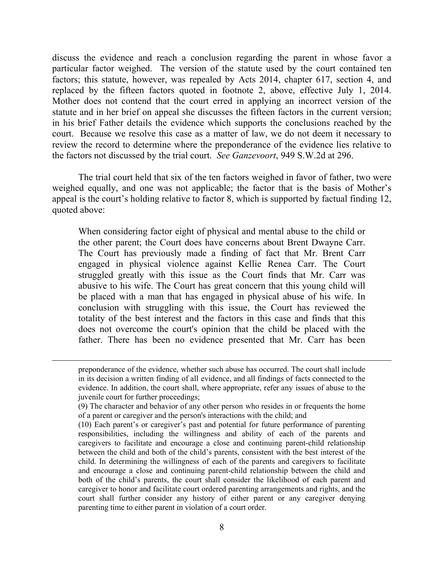discuss the evidence and reach a conclusion regarding the parent in whose favor a particular factor weighed. The version of the statute used by the court contained ten factors; this statute, however, was repealed by Acts 2014, chapter 617, section 4, and replaced by the fifteen factors quoted in footnote 2, above, effective July 1, 2014. Mother does not contend that the court erred in applying an incorrect version of the statute and in her brief on appeal she discusses the fifteen factors in the current version; in his brief Father details the evidence which supports the conclusions reached by the court. Because we resolve this case as a matter of law, we do not deem it necessary to review the record to determine where the preponderance of the evidence lies relative to the factors not discussed by the trial court. *See Ganzevoort*, 949 S.W.2d at 296.

The trial court held that six of the ten factors weighed in favor of father, two were weighed equally, and one was not applicable; the factor that is the basis of Mother's appeal is the court's holding relative to factor 8, which is supported by factual finding 12, quoted above:

When considering factor eight of physical and mental abuse to the child or the other parent; the Court does have concerns about Brent Dwayne Carr. The Court has previously made a finding of fact that Mr. Brent Carr engaged in physical violence against Kellie Renea Carr. The Court struggled greatly with this issue as the Court finds that Mr. Carr was abusive to his wife. The Court has great concern that this young child will be placed with a man that has engaged in physical abuse of his wife. In conclusion with struggling with this issue, the Court has reviewed the totality of the best interest and the factors in this case and finds that this does not overcome the court's opinion that the child be placed with the father. There has been no evidence presented that Mr. Carr has been

 $\overline{a}$ 

preponderance of the evidence, whether such abuse has occurred. The court shall include in its decision a written finding of all evidence, and all findings of facts connected to the evidence. In addition, the court shall, where appropriate, refer any issues of abuse to the juvenile court for further proceedings;

<sup>(9)</sup> The character and behavior of any other person who resides in or frequents the home of a parent or caregiver and the person's interactions with the child; and

<sup>(10)</sup> Each parent's or caregiver's past and potential for future performance of parenting responsibilities, including the willingness and ability of each of the parents and caregivers to facilitate and encourage a close and continuing parent-child relationship between the child and both of the child's parents, consistent with the best interest of the child. In determining the willingness of each of the parents and caregivers to facilitate and encourage a close and continuing parent-child relationship between the child and both of the child's parents, the court shall consider the likelihood of each parent and caregiver to honor and facilitate court ordered parenting arrangements and rights, and the court shall further consider any history of either parent or any caregiver denying parenting time to either parent in violation of a court order.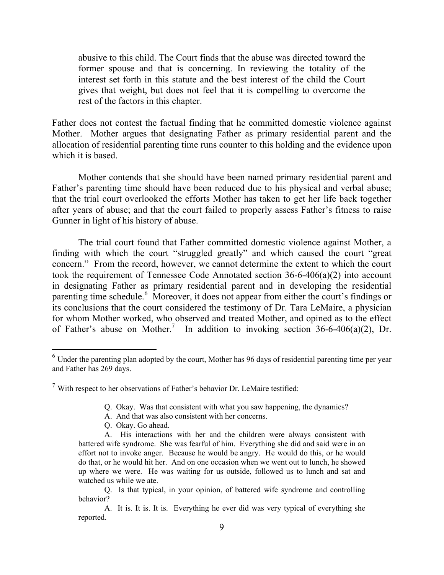abusive to this child. The Court finds that the abuse was directed toward the former spouse and that is concerning. In reviewing the totality of the interest set forth in this statute and the best interest of the child the Court gives that weight, but does not feel that it is compelling to overcome the rest of the factors in this chapter.

Father does not contest the factual finding that he committed domestic violence against Mother. Mother argues that designating Father as primary residential parent and the allocation of residential parenting time runs counter to this holding and the evidence upon which it is based.

Mother contends that she should have been named primary residential parent and Father's parenting time should have been reduced due to his physical and verbal abuse; that the trial court overlooked the efforts Mother has taken to get her life back together after years of abuse; and that the court failed to properly assess Father's fitness to raise Gunner in light of his history of abuse.

The trial court found that Father committed domestic violence against Mother, a finding with which the court "struggled greatly" and which caused the court "great concern." From the record, however, we cannot determine the extent to which the court took the requirement of Tennessee Code Annotated section 36-6-406(a)(2) into account in designating Father as primary residential parent and in developing the residential parenting time schedule.<sup>6</sup> Moreover, it does not appear from either the court's findings or its conclusions that the court considered the testimony of Dr. Tara LeMaire, a physician for whom Mother worked, who observed and treated Mother, and opined as to the effect of Father's abuse on Mother.<sup>7</sup> In addition to invoking section 36-6-406(a)(2), Dr.

- A. And that was also consistent with her concerns.
- Q. Okay. Go ahead.

 $\overline{a}$ 

<sup>&</sup>lt;sup>6</sup> Under the parenting plan adopted by the court, Mother has 96 days of residential parenting time per year and Father has 269 days.

 $\frac{7}{1}$  With respect to her observations of Father's behavior Dr. LeMaire testified:

Q. Okay. Was that consistent with what you saw happening, the dynamics?

A. His interactions with her and the children were always consistent with battered wife syndrome. She was fearful of him. Everything she did and said were in an effort not to invoke anger. Because he would be angry. He would do this, or he would do that, or he would hit her. And on one occasion when we went out to lunch, he showed up where we were. He was waiting for us outside, followed us to lunch and sat and watched us while we ate.

Q. Is that typical, in your opinion, of battered wife syndrome and controlling behavior?

A. It is. It is. It is. Everything he ever did was very typical of everything she reported.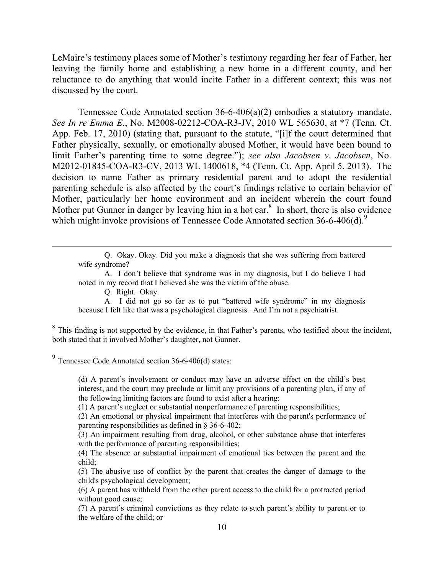LeMaire's testimony places some of Mother's testimony regarding her fear of Father, her leaving the family home and establishing a new home in a different county, and her reluctance to do anything that would incite Father in a different context; this was not discussed by the court.

Tennessee Code Annotated section 36-6-406(a)(2) embodies a statutory mandate. *See In re Emma E*., No. M2008-02212-COA-R3-JV, 2010 WL 565630, at \*7 (Tenn. Ct. App. Feb. 17, 2010) (stating that, pursuant to the statute, "[i]f the court determined that Father physically, sexually, or emotionally abused Mother, it would have been bound to limit Father's parenting time to some degree."); *see also Jacobsen v. Jacobsen*, No. M2012-01845-COA-R3-CV, 2013 WL 1400618, \*4 (Tenn. Ct. App. April 5, 2013). The decision to name Father as primary residential parent and to adopt the residential parenting schedule is also affected by the court's findings relative to certain behavior of Mother, particularly her home environment and an incident wherein the court found Mother put Gunner in danger by leaving him in a hot car. $8\,$  In short, there is also evidence which might invoke provisions of Tennessee Code Annotated section 36-6-406(d).<sup>9</sup>

Q. Okay. Okay. Did you make a diagnosis that she was suffering from battered wife syndrome?

A. I don't believe that syndrome was in my diagnosis, but I do believe I had noted in my record that I believed she was the victim of the abuse.

Q. Right. Okay.

 $\overline{a}$ 

A. I did not go so far as to put "battered wife syndrome" in my diagnosis because I felt like that was a psychological diagnosis. And I'm not a psychiatrist.

 $8$  This finding is not supported by the evidence, in that Father's parents, who testified about the incident, both stated that it involved Mother's daughter, not Gunner.

 $9^9$  Tennessee Code Annotated section 36-6-406(d) states:

(d) A parent's involvement or conduct may have an adverse effect on the child's best interest, and the court may preclude or limit any provisions of a parenting plan, if any of the following limiting factors are found to exist after a hearing:

(1) A parent's neglect or substantial nonperformance of parenting responsibilities;

(2) An emotional or physical impairment that interferes with the parent's performance of parenting responsibilities as defined in § 36-6-402;

(3) An impairment resulting from drug, alcohol, or other substance abuse that interferes with the performance of parenting responsibilities;

(4) The absence or substantial impairment of emotional ties between the parent and the child;

(5) The abusive use of conflict by the parent that creates the danger of damage to the child's psychological development;

(6) A parent has withheld from the other parent access to the child for a protracted period without good cause;

(7) A parent's criminal convictions as they relate to such parent's ability to parent or to the welfare of the child; or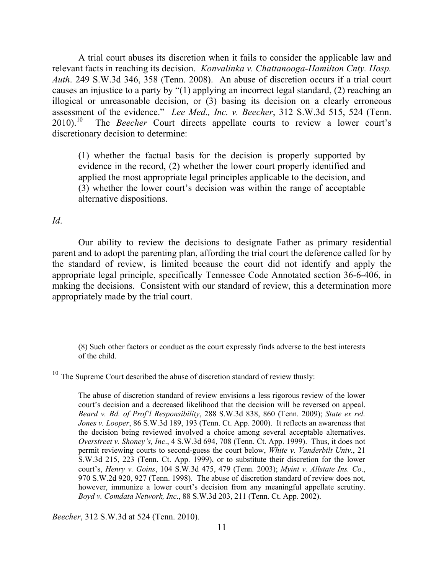A trial court abuses its discretion when it fails to consider the applicable law and relevant facts in reaching its decision. *Konvalinka v. Chattanooga-Hamilton Cnty. Hosp. Auth*. 249 S.W.3d 346, 358 (Tenn. 2008). An abuse of discretion occurs if a trial court causes an injustice to a party by "(1) applying an incorrect legal standard, (2) reaching an illogical or unreasonable decision, or (3) basing its decision on a clearly erroneous assessment of the evidence." *Lee Med., Inc. v. Beecher*, 312 S.W.3d 515, 524 (Tenn.  $2010$ ).<sup>10</sup> The *Beecher* Court directs appellate courts to review a lower court's discretionary decision to determine:

(1) whether the factual basis for the decision is properly supported by evidence in the record, (2) whether the lower court properly identified and applied the most appropriate legal principles applicable to the decision, and (3) whether the lower court's decision was within the range of acceptable alternative dispositions.

*Id*.

Our ability to review the decisions to designate Father as primary residential parent and to adopt the parenting plan, affording the trial court the deference called for by the standard of review, is limited because the court did not identify and apply the appropriate legal principle, specifically Tennessee Code Annotated section 36-6-406, in making the decisions. Consistent with our standard of review, this a determination more appropriately made by the trial court.

*Beecher*, 312 S.W.3d at 524 (Tenn. 2010).

<sup>(8)</sup> Such other factors or conduct as the court expressly finds adverse to the best interests of the child.

 $10$  The Supreme Court described the abuse of discretion standard of review thusly:

The abuse of discretion standard of review envisions a less rigorous review of the lower court's decision and a decreased likelihood that the decision will be reversed on appeal. *Beard v. Bd. of Prof'l Responsibility*, 288 S.W.3d 838, 860 (Tenn. 2009); *State ex rel. Jones v. Looper*, 86 S.W.3d 189, 193 (Tenn. Ct. App. 2000). It reflects an awareness that the decision being reviewed involved a choice among several acceptable alternatives. *Overstreet v. Shoney's, Inc*., 4 S.W.3d 694, 708 (Tenn. Ct. App. 1999). Thus, it does not permit reviewing courts to second-guess the court below, *White v. Vanderbilt Univ*., 21 S.W.3d 215, 223 (Tenn. Ct. App. 1999), or to substitute their discretion for the lower court's, *Henry v. Goins*, 104 S.W.3d 475, 479 (Tenn. 2003); *Myint v. Allstate Ins. Co*., 970 S.W.2d 920, 927 (Tenn. 1998). The abuse of discretion standard of review does not, however, immunize a lower court's decision from any meaningful appellate scrutiny. *Boyd v. Comdata Network, Inc*., 88 S.W.3d 203, 211 (Tenn. Ct. App. 2002).